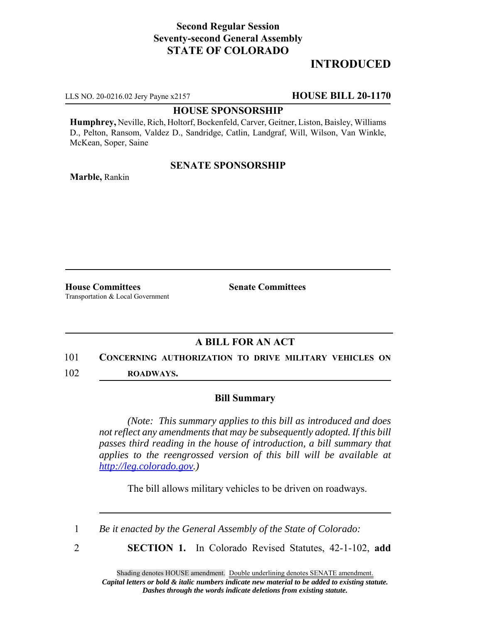### **Second Regular Session Seventy-second General Assembly STATE OF COLORADO**

# **INTRODUCED**

LLS NO. 20-0216.02 Jery Payne x2157 **HOUSE BILL 20-1170**

#### **HOUSE SPONSORSHIP**

**Humphrey,** Neville, Rich, Holtorf, Bockenfeld, Carver, Geitner, Liston, Baisley, Williams D., Pelton, Ransom, Valdez D., Sandridge, Catlin, Landgraf, Will, Wilson, Van Winkle, McKean, Soper, Saine

### **SENATE SPONSORSHIP**

**Marble,** Rankin

**House Committees Senate Committees** Transportation & Local Government

# **A BILL FOR AN ACT**

### 101 **CONCERNING AUTHORIZATION TO DRIVE MILITARY VEHICLES ON**

102 **ROADWAYS.**

### **Bill Summary**

*(Note: This summary applies to this bill as introduced and does not reflect any amendments that may be subsequently adopted. If this bill passes third reading in the house of introduction, a bill summary that applies to the reengrossed version of this bill will be available at http://leg.colorado.gov.)*

The bill allows military vehicles to be driven on roadways.

1 *Be it enacted by the General Assembly of the State of Colorado:*

- 
- 2 **SECTION 1.** In Colorado Revised Statutes, 42-1-102, **add**